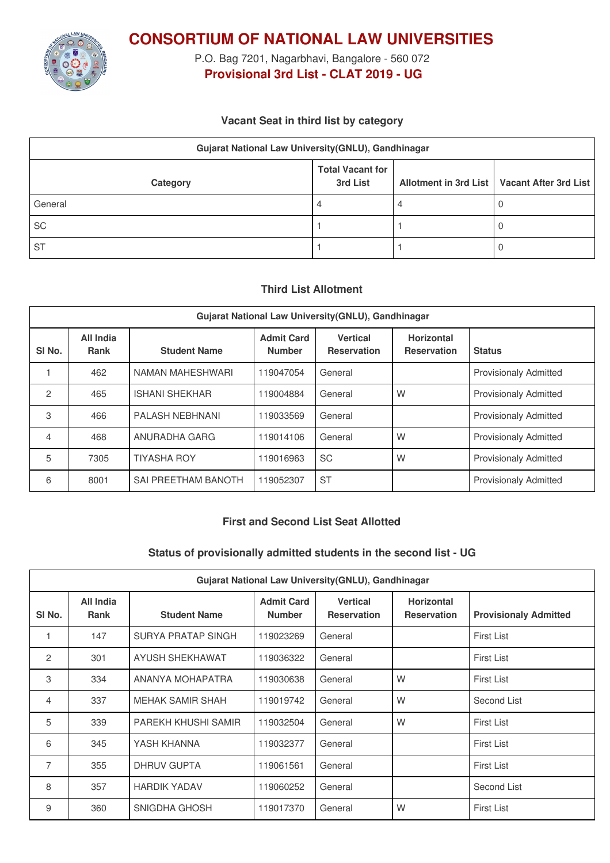

**CONSORTIUM OF NATIONAL LAW UNIVERSITIES**

P.O. Bag 7201, Nagarbhavi, Bangalore - 560 072 **Provisional 3rd List - CLAT 2019 - UG**

## **Vacant Seat in third list by category**

| Gujarat National Law University(GNLU), Gandhinagar |                                     |  |                                               |  |  |  |  |
|----------------------------------------------------|-------------------------------------|--|-----------------------------------------------|--|--|--|--|
| Category                                           | <b>Total Vacant for</b><br>3rd List |  | Allotment in 3rd List   Vacant After 3rd List |  |  |  |  |
| General                                            | 4                                   |  |                                               |  |  |  |  |
| SC                                                 |                                     |  |                                               |  |  |  |  |
| <b>ST</b>                                          |                                     |  |                                               |  |  |  |  |

### **Third List Allotment**

| Gujarat National Law University (GNLU), Gandhinagar |                          |                       |                                    |                                       |                                         |                              |  |  |
|-----------------------------------------------------|--------------------------|-----------------------|------------------------------------|---------------------------------------|-----------------------------------------|------------------------------|--|--|
| SI <sub>No.</sub>                                   | All India<br><b>Rank</b> | <b>Student Name</b>   | <b>Admit Card</b><br><b>Number</b> | <b>Vertical</b><br><b>Reservation</b> | <b>Horizontal</b><br><b>Reservation</b> | <b>Status</b>                |  |  |
|                                                     | 462                      | NAMAN MAHESHWARI      | 119047054                          | General                               |                                         | <b>Provisionaly Admitted</b> |  |  |
| 2                                                   | 465                      | <b>ISHANI SHEKHAR</b> | 119004884                          | General                               | W                                       | <b>Provisionaly Admitted</b> |  |  |
| 3                                                   | 466                      | PALASH NEBHNANI       | 119033569                          | General                               |                                         | <b>Provisionaly Admitted</b> |  |  |
| 4                                                   | 468                      | ANURADHA GARG         | 119014106                          | General                               | W                                       | <b>Provisionaly Admitted</b> |  |  |
| 5                                                   | 7305                     | <b>TIYASHA ROY</b>    | 119016963                          | <b>SC</b>                             | W                                       | <b>Provisionaly Admitted</b> |  |  |
| 6                                                   | 8001                     | SAI PREETHAM BANOTH   | 119052307                          | <b>ST</b>                             |                                         | <b>Provisionaly Admitted</b> |  |  |

## **First and Second List Seat Allotted**

#### **Status of provisionally admitted students in the second list - UG**

| Gujarat National Law University (GNLU), Gandhinagar |                   |                        |                                    |                                       |                                         |                              |  |
|-----------------------------------------------------|-------------------|------------------------|------------------------------------|---------------------------------------|-----------------------------------------|------------------------------|--|
| SI <sub>No.</sub>                                   | All India<br>Rank | <b>Student Name</b>    | <b>Admit Card</b><br><b>Number</b> | <b>Vertical</b><br><b>Reservation</b> | <b>Horizontal</b><br><b>Reservation</b> | <b>Provisionaly Admitted</b> |  |
|                                                     | 147               | SURYA PRATAP SINGH     | 119023269                          | General                               |                                         | First List                   |  |
| 2                                                   | 301               | <b>AYUSH SHEKHAWAT</b> | 119036322                          | General                               |                                         | <b>First List</b>            |  |
| 3                                                   | 334               | ANANYA MOHAPATRA       | 119030638                          | General                               | W                                       | First List                   |  |
| 4                                                   | 337               | MEHAK SAMIR SHAH       | 119019742                          | General                               | W                                       | Second List                  |  |
| 5                                                   | 339               | PAREKH KHUSHI SAMIR    | 119032504                          | General                               | W                                       | First List                   |  |
| 6                                                   | 345               | YASH KHANNA            | 119032377                          | General                               |                                         | First List                   |  |
| $\overline{7}$                                      | 355               | <b>DHRUV GUPTA</b>     | 119061561                          | General                               |                                         | First List                   |  |
| 8                                                   | 357               | <b>HARDIK YADAV</b>    | 119060252                          | General                               |                                         | Second List                  |  |
| 9                                                   | 360               | SNIGDHA GHOSH          | 119017370                          | General                               | W                                       | <b>First List</b>            |  |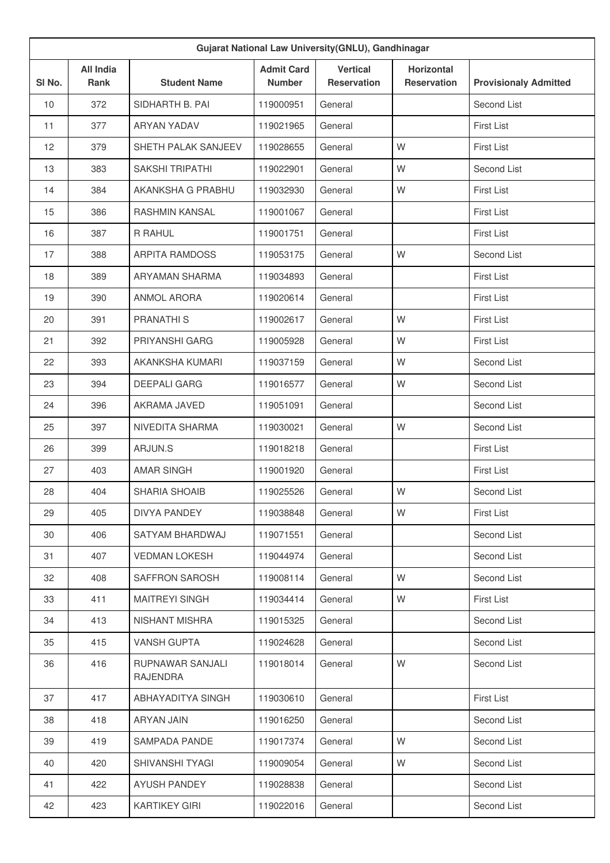| Gujarat National Law University(GNLU), Gandhinagar |                                 |                              |                                    |                                       |                                         |                              |  |
|----------------------------------------------------|---------------------------------|------------------------------|------------------------------------|---------------------------------------|-----------------------------------------|------------------------------|--|
| SI No.                                             | <b>All India</b><br><b>Rank</b> | <b>Student Name</b>          | <b>Admit Card</b><br><b>Number</b> | <b>Vertical</b><br><b>Reservation</b> | <b>Horizontal</b><br><b>Reservation</b> | <b>Provisionaly Admitted</b> |  |
| 10                                                 | 372                             | SIDHARTH B. PAI              | 119000951                          | General                               |                                         | Second List                  |  |
| 11                                                 | 377                             | <b>ARYAN YADAV</b>           | 119021965                          | General                               |                                         | <b>First List</b>            |  |
| 12                                                 | 379                             | SHETH PALAK SANJEEV          | 119028655                          | General                               | W                                       | <b>First List</b>            |  |
| 13                                                 | 383                             | <b>SAKSHI TRIPATHI</b>       | 119022901                          | General                               | W                                       | Second List                  |  |
| 14                                                 | 384                             | AKANKSHA G PRABHU            | 119032930                          | General                               | W                                       | <b>First List</b>            |  |
| 15                                                 | 386                             | <b>RASHMIN KANSAL</b>        | 119001067                          | General                               |                                         | First List                   |  |
| 16                                                 | 387                             | R RAHUL                      | 119001751                          | General                               |                                         | First List                   |  |
| 17                                                 | 388                             | <b>ARPITA RAMDOSS</b>        | 119053175                          | General                               | W                                       | Second List                  |  |
| 18                                                 | 389                             | ARYAMAN SHARMA               | 119034893                          | General                               |                                         | <b>First List</b>            |  |
| 19                                                 | 390                             | <b>ANMOL ARORA</b>           | 119020614                          | General                               |                                         | First List                   |  |
| 20                                                 | 391                             | PRANATHI <sub>S</sub>        | 119002617                          | General                               | W                                       | <b>First List</b>            |  |
| 21                                                 | 392                             | <b>PRIYANSHI GARG</b>        | 119005928                          | General                               | W                                       | <b>First List</b>            |  |
| 22                                                 | 393                             | AKANKSHA KUMARI              | 119037159                          | General                               | W                                       | Second List                  |  |
| 23                                                 | 394                             | <b>DEEPALI GARG</b>          | 119016577                          | General                               | W                                       | Second List                  |  |
| 24                                                 | 396                             | AKRAMA JAVED                 | 119051091                          | General                               |                                         | Second List                  |  |
| 25                                                 | 397                             | NIVEDITA SHARMA              | 119030021                          | General                               | W                                       | Second List                  |  |
| 26                                                 | 399                             | ARJUN.S                      | 119018218                          | General                               |                                         | <b>First List</b>            |  |
| 27                                                 | 403                             | <b>AMAR SINGH</b>            | 119001920                          | General                               |                                         | First List                   |  |
| 28                                                 | 404                             | <b>SHARIA SHOAIB</b>         | 119025526                          | General                               | W                                       | Second List                  |  |
| 29                                                 | 405                             | DIVYA PANDEY                 | 119038848                          | General                               | W                                       | <b>First List</b>            |  |
| 30                                                 | 406                             | SATYAM BHARDWAJ              | 119071551                          | General                               |                                         | Second List                  |  |
| 31                                                 | 407                             | <b>VEDMAN LOKESH</b>         | 119044974                          | General                               |                                         | Second List                  |  |
| 32                                                 | 408                             | SAFFRON SAROSH               | 119008114                          | General                               | W                                       | Second List                  |  |
| 33                                                 | 411                             | <b>MAITREYI SINGH</b>        | 119034414                          | General                               | W                                       | First List                   |  |
| 34                                                 | 413                             | NISHANT MISHRA               | 119015325                          | General                               |                                         | Second List                  |  |
| 35                                                 | 415                             | <b>VANSH GUPTA</b>           | 119024628                          | General                               |                                         | Second List                  |  |
| 36                                                 | 416                             | RUPNAWAR SANJALI<br>RAJENDRA | 119018014                          | General                               | W                                       | Second List                  |  |
| 37                                                 | 417                             | ABHAYADITYA SINGH            | 119030610                          | General                               |                                         | First List                   |  |
| 38                                                 | 418                             | ARYAN JAIN                   | 119016250                          | General                               |                                         | Second List                  |  |
| 39                                                 | 419                             | SAMPADA PANDE                | 119017374                          | General                               | W                                       | Second List                  |  |
| 40                                                 | 420                             | SHIVANSHI TYAGI              | 119009054                          | General                               | W                                       | Second List                  |  |
| 41                                                 | 422                             | <b>AYUSH PANDEY</b>          | 119028838                          | General                               |                                         | Second List                  |  |
| 42                                                 | 423                             | <b>KARTIKEY GIRI</b>         | 119022016                          | General                               |                                         | Second List                  |  |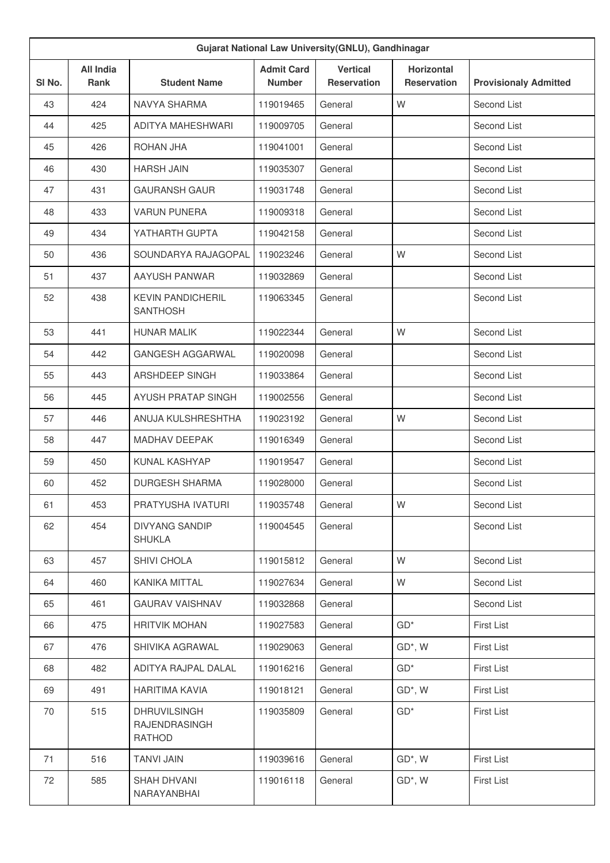| Gujarat National Law University(GNLU), Gandhinagar |                                 |                                                |                                    |                                       |                                         |                              |  |
|----------------------------------------------------|---------------------------------|------------------------------------------------|------------------------------------|---------------------------------------|-----------------------------------------|------------------------------|--|
| SI <sub>No.</sub>                                  | <b>All India</b><br><b>Rank</b> | <b>Student Name</b>                            | <b>Admit Card</b><br><b>Number</b> | <b>Vertical</b><br><b>Reservation</b> | <b>Horizontal</b><br><b>Reservation</b> | <b>Provisionaly Admitted</b> |  |
| 43                                                 | 424                             | NAVYA SHARMA                                   | 119019465                          | General                               | W                                       | Second List                  |  |
| 44                                                 | 425                             | ADITYA MAHESHWARI                              | 119009705                          | General                               |                                         | Second List                  |  |
| 45                                                 | 426                             | <b>ROHAN JHA</b>                               | 119041001                          | General                               |                                         | Second List                  |  |
| 46                                                 | 430                             | <b>HARSH JAIN</b>                              | 119035307                          | General                               |                                         | Second List                  |  |
| 47                                                 | 431                             | <b>GAURANSH GAUR</b>                           | 119031748                          | General                               |                                         | Second List                  |  |
| 48                                                 | 433                             | <b>VARUN PUNERA</b>                            | 119009318                          | General                               |                                         | Second List                  |  |
| 49                                                 | 434                             | YATHARTH GUPTA                                 | 119042158                          | General                               |                                         | Second List                  |  |
| 50                                                 | 436                             | SOUNDARYA RAJAGOPAL                            | 119023246                          | General                               | W                                       | Second List                  |  |
| 51                                                 | 437                             | AAYUSH PANWAR                                  | 119032869                          | General                               |                                         | Second List                  |  |
| 52                                                 | 438                             | <b>KEVIN PANDICHERIL</b><br><b>SANTHOSH</b>    | 119063345                          | General                               |                                         | Second List                  |  |
| 53                                                 | 441                             | <b>HUNAR MALIK</b>                             | 119022344                          | General                               | W                                       | Second List                  |  |
| 54                                                 | 442                             | <b>GANGESH AGGARWAL</b>                        | 119020098                          | General                               |                                         | Second List                  |  |
| 55                                                 | 443                             | <b>ARSHDEEP SINGH</b>                          | 119033864                          | General                               |                                         | Second List                  |  |
| 56                                                 | 445                             | AYUSH PRATAP SINGH                             | 119002556                          | General                               |                                         | Second List                  |  |
| 57                                                 | 446                             | ANUJA KULSHRESHTHA                             | 119023192                          | General                               | W                                       | Second List                  |  |
| 58                                                 | 447                             | <b>MADHAV DEEPAK</b>                           | 119016349                          | General                               |                                         | Second List                  |  |
| 59                                                 | 450                             | <b>KUNAL KASHYAP</b>                           | 119019547                          | General                               |                                         | Second List                  |  |
| 60                                                 | 452                             | <b>DURGESH SHARMA</b>                          | 119028000                          | General                               |                                         | Second List                  |  |
| 61                                                 | 453                             | PRATYUSHA IVATURI                              | 119035748                          | General                               | W                                       | Second List                  |  |
| 62                                                 | 454                             | <b>DIVYANG SANDIP</b><br><b>SHUKLA</b>         | 119004545                          | General                               |                                         | Second List                  |  |
| 63                                                 | 457                             | SHIVI CHOLA                                    | 119015812                          | General                               | W                                       | Second List                  |  |
| 64                                                 | 460                             | KANIKA MITTAL                                  | 119027634                          | General                               | W                                       | Second List                  |  |
| 65                                                 | 461                             | <b>GAURAV VAISHNAV</b>                         | 119032868                          | General                               |                                         | Second List                  |  |
| 66                                                 | 475                             | <b>HRITVIK MOHAN</b>                           | 119027583                          | General                               | $GD^*$                                  | <b>First List</b>            |  |
| 67                                                 | 476                             | SHIVIKA AGRAWAL                                | 119029063                          | General                               | GD*, W                                  | <b>First List</b>            |  |
| 68                                                 | 482                             | ADITYA RAJPAL DALAL                            | 119016216                          | General                               | $GD^*$                                  | <b>First List</b>            |  |
| 69                                                 | 491                             | <b>HARITIMA KAVIA</b>                          | 119018121                          | General                               | GD*, W                                  | <b>First List</b>            |  |
| 70                                                 | 515                             | <b>DHRUVILSINGH</b><br>RAJENDRASINGH<br>RATHOD | 119035809                          | General                               | $GD*$                                   | <b>First List</b>            |  |
| 71                                                 | 516                             | <b>TANVI JAIN</b>                              | 119039616                          | General                               | GD*, W                                  | <b>First List</b>            |  |
| 72                                                 | 585                             | <b>SHAH DHVANI</b><br>NARAYANBHAI              | 119016118                          | General                               | GD*, W                                  | First List                   |  |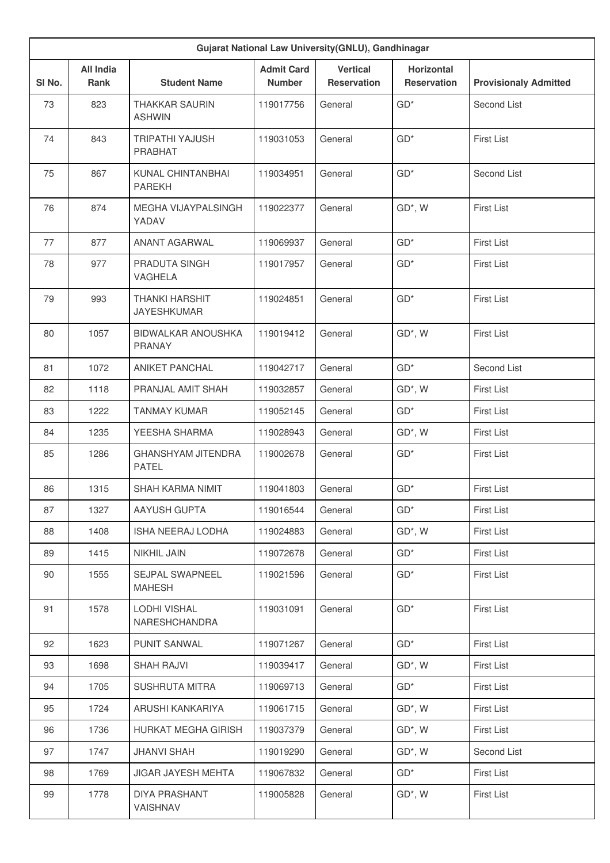| Gujarat National Law University(GNLU), Gandhinagar |                                 |                                             |                                    |                                       |                                         |                              |  |
|----------------------------------------------------|---------------------------------|---------------------------------------------|------------------------------------|---------------------------------------|-----------------------------------------|------------------------------|--|
| SI No.                                             | <b>All India</b><br><b>Rank</b> | <b>Student Name</b>                         | <b>Admit Card</b><br><b>Number</b> | <b>Vertical</b><br><b>Reservation</b> | <b>Horizontal</b><br><b>Reservation</b> | <b>Provisionaly Admitted</b> |  |
| 73                                                 | 823                             | <b>THAKKAR SAURIN</b><br><b>ASHWIN</b>      | 119017756                          | General                               | $GD*$                                   | Second List                  |  |
| 74                                                 | 843                             | TRIPATHI YAJUSH<br>PRABHAT                  | 119031053                          | General                               | $GD*$                                   | <b>First List</b>            |  |
| 75                                                 | 867                             | KUNAL CHINTANBHAI<br><b>PAREKH</b>          | 119034951                          | General                               | $GD*$                                   | Second List                  |  |
| 76                                                 | 874                             | MEGHA VIJAYPALSINGH<br>YADAV                | 119022377                          | General                               | GD*, W                                  | <b>First List</b>            |  |
| 77                                                 | 877                             | <b>ANANT AGARWAL</b>                        | 119069937                          | General                               | $GD*$                                   | <b>First List</b>            |  |
| 78                                                 | 977                             | PRADUTA SINGH<br><b>VAGHELA</b>             | 119017957                          | General                               | $GD*$                                   | <b>First List</b>            |  |
| 79                                                 | 993                             | <b>THANKI HARSHIT</b><br><b>JAYESHKUMAR</b> | 119024851                          | General                               | $GD*$                                   | First List                   |  |
| 80                                                 | 1057                            | <b>BIDWALKAR ANOUSHKA</b><br><b>PRANAY</b>  | 119019412                          | General                               | GD*, W                                  | <b>First List</b>            |  |
| 81                                                 | 1072                            | <b>ANIKET PANCHAL</b>                       | 119042717                          | General                               | $GD*$                                   | Second List                  |  |
| 82                                                 | 1118                            | PRANJAL AMIT SHAH                           | 119032857                          | General                               | GD*, W                                  | <b>First List</b>            |  |
| 83                                                 | 1222                            | <b>TANMAY KUMAR</b>                         | 119052145                          | General                               | $GD*$                                   | <b>First List</b>            |  |
| 84                                                 | 1235                            | YEESHA SHARMA                               | 119028943                          | General                               | GD*, W                                  | First List                   |  |
| 85                                                 | 1286                            | GHANSHYAM JITENDRA<br><b>PATEL</b>          | 119002678                          | General                               | $GD*$                                   | First List                   |  |
| 86                                                 | 1315                            | <b>SHAH KARMA NIMIT</b>                     | 119041803                          | General                               | $GD*$                                   | <b>First List</b>            |  |
| 87                                                 | 1327                            | AAYUSH GUPTA                                | 119016544                          | General                               | $GD^*$                                  | First List                   |  |
| 88                                                 | 1408                            | ISHA NEERAJ LODHA                           | 119024883                          | General                               | GD*, W                                  | First List                   |  |
| 89                                                 | 1415                            | NIKHIL JAIN                                 | 119072678                          | General                               | $GD*$                                   | First List                   |  |
| 90                                                 | 1555                            | SEJPAL SWAPNEEL<br><b>MAHESH</b>            | 119021596                          | General                               | $GD*$                                   | First List                   |  |
| 91                                                 | 1578                            | LODHI VISHAL<br>NARESHCHANDRA               | 119031091                          | General                               | $GD*$                                   | <b>First List</b>            |  |
| 92                                                 | 1623                            | PUNIT SANWAL                                | 119071267                          | General                               | $GD^*$                                  | First List                   |  |
| 93                                                 | 1698                            | <b>SHAH RAJVI</b>                           | 119039417                          | General                               | GD*, W                                  | <b>First List</b>            |  |
| 94                                                 | 1705                            | SUSHRUTA MITRA                              | 119069713                          | General                               | $GD^*$                                  | First List                   |  |
| 95                                                 | 1724                            | ARUSHI KANKARIYA                            | 119061715                          | General                               | GD*, W                                  | <b>First List</b>            |  |
| 96                                                 | 1736                            | HURKAT MEGHA GIRISH                         | 119037379                          | General                               | GD*, W                                  | First List                   |  |
| 97                                                 | 1747                            | <b>JHANVI SHAH</b>                          | 119019290                          | General                               | GD*, W                                  | Second List                  |  |
| 98                                                 | 1769                            | JIGAR JAYESH MEHTA                          | 119067832                          | General                               | $GD^*$                                  | First List                   |  |
| 99                                                 | 1778                            | DIYA PRASHANT<br>VAISHNAV                   | 119005828                          | General                               | GD*, W                                  | First List                   |  |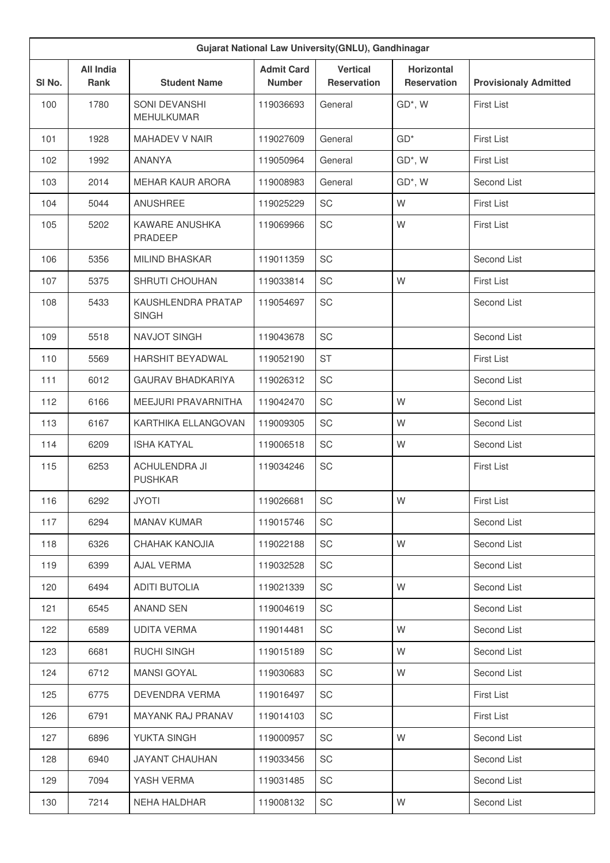| Gujarat National Law University(GNLU), Gandhinagar |                                 |                                        |                                    |                                       |                                         |                              |  |
|----------------------------------------------------|---------------------------------|----------------------------------------|------------------------------------|---------------------------------------|-----------------------------------------|------------------------------|--|
| SI No.                                             | <b>All India</b><br><b>Rank</b> | <b>Student Name</b>                    | <b>Admit Card</b><br><b>Number</b> | <b>Vertical</b><br><b>Reservation</b> | <b>Horizontal</b><br><b>Reservation</b> | <b>Provisionaly Admitted</b> |  |
| 100                                                | 1780                            | SONI DEVANSHI<br><b>MEHULKUMAR</b>     | 119036693                          | General                               | GD*, W                                  | <b>First List</b>            |  |
| 101                                                | 1928                            | <b>MAHADEV V NAIR</b>                  | 119027609                          | General                               | $GD*$                                   | <b>First List</b>            |  |
| 102                                                | 1992                            | <b>ANANYA</b>                          | 119050964                          | General                               | GD*, W                                  | <b>First List</b>            |  |
| 103                                                | 2014                            | <b>MEHAR KAUR ARORA</b>                | 119008983                          | General                               | GD*, W                                  | Second List                  |  |
| 104                                                | 5044                            | <b>ANUSHREE</b>                        | 119025229                          | <b>SC</b>                             | W                                       | <b>First List</b>            |  |
| 105                                                | 5202                            | KAWARE ANUSHKA<br><b>PRADEEP</b>       | 119069966                          | SC                                    | W                                       | <b>First List</b>            |  |
| 106                                                | 5356                            | <b>MILIND BHASKAR</b>                  | 119011359                          | SC                                    |                                         | Second List                  |  |
| 107                                                | 5375                            | SHRUTI CHOUHAN                         | 119033814                          | SC                                    | W                                       | <b>First List</b>            |  |
| 108                                                | 5433                            | KAUSHLENDRA PRATAP<br><b>SINGH</b>     | 119054697                          | SC                                    |                                         | Second List                  |  |
| 109                                                | 5518                            | <b>NAVJOT SINGH</b>                    | 119043678                          | SC                                    |                                         | Second List                  |  |
| 110                                                | 5569                            | HARSHIT BEYADWAL                       | 119052190                          | <b>ST</b>                             |                                         | <b>First List</b>            |  |
| 111                                                | 6012                            | <b>GAURAV BHADKARIYA</b>               | 119026312                          | <b>SC</b>                             |                                         | Second List                  |  |
| 112                                                | 6166                            | MEEJURI PRAVARNITHA                    | 119042470                          | <b>SC</b>                             | W                                       | Second List                  |  |
| 113                                                | 6167                            | KARTHIKA ELLANGOVAN                    | 119009305                          | SC                                    | W                                       | Second List                  |  |
| 114                                                | 6209                            | <b>ISHA KATYAL</b>                     | 119006518                          | <b>SC</b>                             | W                                       | Second List                  |  |
| 115                                                | 6253                            | <b>ACHULENDRA JI</b><br><b>PUSHKAR</b> | 119034246                          | <b>SC</b>                             |                                         | <b>First List</b>            |  |
| 116                                                | 6292                            | <b>JYOTI</b>                           | 119026681                          | SC                                    | W                                       | <b>First List</b>            |  |
| 117                                                | 6294                            | <b>MANAV KUMAR</b>                     | 119015746                          | SC                                    |                                         | Second List                  |  |
| 118                                                | 6326                            | CHAHAK KANOJIA                         | 119022188                          | SC                                    | W                                       | Second List                  |  |
| 119                                                | 6399                            | AJAL VERMA                             | 119032528                          | SC                                    |                                         | Second List                  |  |
| 120                                                | 6494                            | <b>ADITI BUTOLIA</b>                   | 119021339                          | SC                                    | W                                       | Second List                  |  |
| 121                                                | 6545                            | <b>ANAND SEN</b>                       | 119004619                          | SC                                    |                                         | Second List                  |  |
| 122                                                | 6589                            | <b>UDITA VERMA</b>                     | 119014481                          | SC                                    | W                                       | Second List                  |  |
| 123                                                | 6681                            | RUCHI SINGH                            | 119015189                          | SC                                    | W                                       | Second List                  |  |
| 124                                                | 6712                            | <b>MANSI GOYAL</b>                     | 119030683                          | SC                                    | W                                       | Second List                  |  |
| 125                                                | 6775                            | DEVENDRA VERMA                         | 119016497                          | SC                                    |                                         | <b>First List</b>            |  |
| 126                                                | 6791                            | MAYANK RAJ PRANAV                      | 119014103                          | SC                                    |                                         | First List                   |  |
| 127                                                | 6896                            | YUKTA SINGH                            | 119000957                          | SC                                    | W                                       | Second List                  |  |
| 128                                                | 6940                            | <b>JAYANT CHAUHAN</b>                  | 119033456                          | SC                                    |                                         | Second List                  |  |
| 129                                                | 7094                            | YASH VERMA                             | 119031485                          | SC                                    |                                         | Second List                  |  |
| 130                                                | 7214                            | NEHA HALDHAR                           | 119008132                          | SC                                    | W                                       | Second List                  |  |